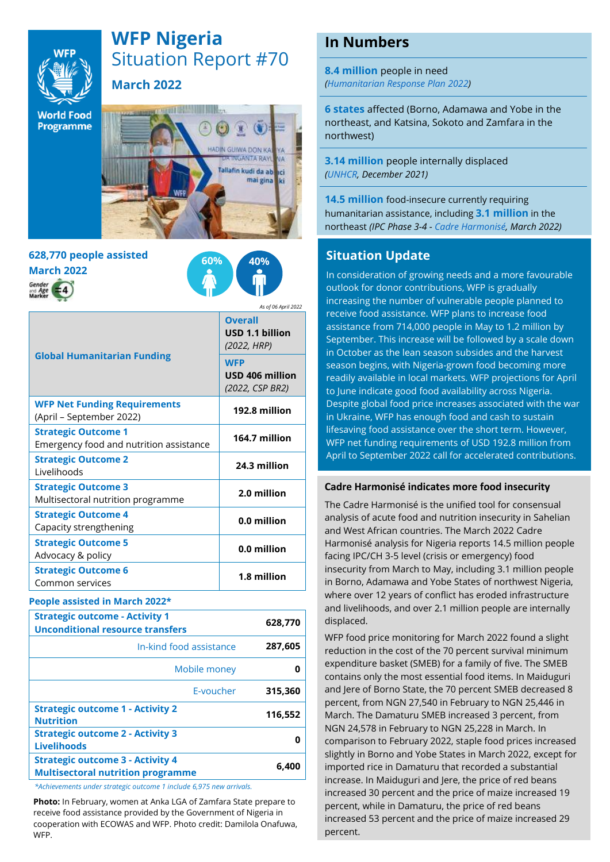

# **WFP Nigeria** Situation Report #70 **March 2022**

**World Food** Programme



# **628,770 people assisted March 2022**



*As of 06 April 2022*

| <b>Global Humanitarian Funding</b>                                    | <b>Overall</b><br>USD 1.1 billion<br>(2022, HRP) |
|-----------------------------------------------------------------------|--------------------------------------------------|
|                                                                       | <b>WFP</b><br>USD 406 million<br>(2022, CSP BR2) |
| <b>WFP Net Funding Requirements</b><br>(April - September 2022)       | 192.8 million                                    |
| <b>Strategic Outcome 1</b><br>Emergency food and nutrition assistance | 164.7 million                                    |
| <b>Strategic Outcome 2</b><br>Livelihoods                             | 24.3 million                                     |
| <b>Strategic Outcome 3</b><br>Multisectoral nutrition programme       | 2.0 million                                      |
| <b>Strategic Outcome 4</b><br>Capacity strengthening                  | 0.0 million                                      |
| <b>Strategic Outcome 5</b><br>Advocacy & policy                       | 0.0 million                                      |
| <b>Strategic Outcome 6</b><br>Common services                         | 1.8 million                                      |

#### **People assisted in March 2022\***

| <b>Strategic outcome - Activity 1</b><br><b>Unconditional resource transfers</b>    | 628,770 |
|-------------------------------------------------------------------------------------|---------|
| In-kind food assistance                                                             | 287,605 |
| Mobile money                                                                        |         |
| E-voucher                                                                           | 315,360 |
| <b>Strategic outcome 1 - Activity 2</b><br><b>Nutrition</b>                         | 116,552 |
| <b>Strategic outcome 2 - Activity 3</b><br><b>Livelihoods</b>                       |         |
| <b>Strategic outcome 3 - Activity 4</b><br><b>Multisectoral nutrition programme</b> | 6.400   |
|                                                                                     |         |

*\*Achievements under strategic outcome 1 include 6,975 new arrivals.* 

**Photo:** In February, women at Anka LGA of Zamfara State prepare to receive food assistance provided by the Government of Nigeria in cooperation with ECOWAS and WFP. Photo credit: Damilola Onafuwa, WFP.

## **In Numbers**

**8.4 million** people in need *[\(Humanitarian Response Plan](https://hum-insight.info/plan/1062) 2022)*

**6 states** affected (Borno, Adamawa and Yobe in the northeast, and Katsina, Sokoto and Zamfara in the northwest)

**3.14 million** people internally displaced *[\(UNHCR,](https://data2.unhcr.org/en/country/nga) December 2021)*

**14.5 million** food-insecure currently requiring humanitarian assistance, including **3.1 million** in the northeast *(IPC Phase 3-4 - [Cadre Harmonisé, March 2022\)](https://fscluster.org/lakechad/document/final-fiche-report-october-2021-cadre)*

### **Situation Update**

In consideration of growing needs and a more favourable outlook for donor contributions, WFP is gradually increasing the number of vulnerable people planned to receive food assistance. WFP plans to increase food assistance from 714,000 people in May to 1.2 million by September. This increase will be followed by a scale down in October as the lean season subsides and the harvest season begins, with Nigeria-grown food becoming more readily available in local markets. WFP projections for April to June indicate good food availability across Nigeria. Despite global food price increases associated with the war in Ukraine, WFP has enough food and cash to sustain lifesaving food assistance over the short term. However, WFP net funding requirements of USD 192.8 million from April to September 2022 call for accelerated contributions.

#### **Cadre Harmonisé indicates more food insecurity**

The Cadre Harmonisé is the unified tool for consensual analysis of acute food and nutrition insecurity in Sahelian and West African countries. The March 2022 Cadre Harmonisé analysis for Nigeria reports 14.5 million people facing IPC/CH 3-5 level (crisis or emergency) food insecurity from March to May, including 3.1 million people in Borno, Adamawa and Yobe States of northwest Nigeria, where over 12 years of conflict has eroded infrastructure and livelihoods, and over 2.1 million people are internally displaced.

WFP food price monitoring for March 2022 found a slight reduction in the cost of the 70 percent survival minimum expenditure basket (SMEB) for a family of five. The SMEB contains only the most essential food items. In Maiduguri and Jere of Borno State, the 70 percent SMEB decreased 8 percent, from NGN 27,540 in February to NGN 25,446 in March. The Damaturu SMEB increased 3 percent, from NGN 24,578 in February to NGN 25,228 in March. In comparison to February 2022, staple food prices increased slightly in Borno and Yobe States in March 2022, except for imported rice in Damaturu that recorded a substantial increase. In Maiduguri and Jere, the price of red beans increased 30 percent and the price of maize increased 19 percent, while in Damaturu, the price of red beans increased 53 percent and the price of maize increased 29 percent.